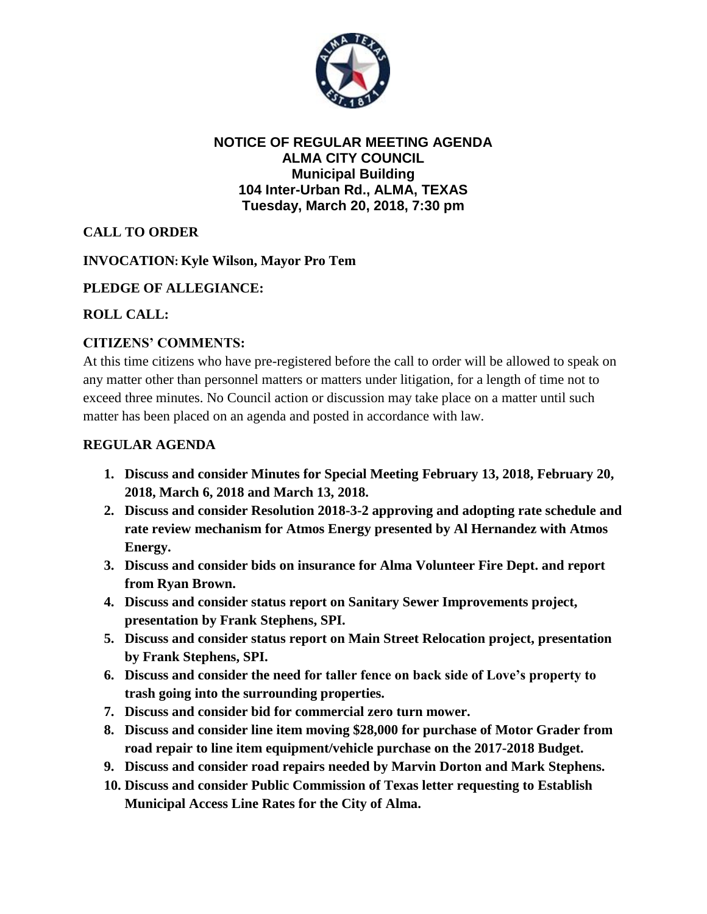

## **NOTICE OF REGULAR MEETING AGENDA ALMA CITY COUNCIL Municipal Building 104 Inter-Urban Rd., ALMA, TEXAS Tuesday, March 20, 2018, 7:30 pm**

# **CALL TO ORDER**

## **INVOCATION: Kyle Wilson, Mayor Pro Tem**

## **PLEDGE OF ALLEGIANCE:**

## **ROLL CALL:**

## **CITIZENS' COMMENTS:**

At this time citizens who have pre-registered before the call to order will be allowed to speak on any matter other than personnel matters or matters under litigation, for a length of time not to exceed three minutes. No Council action or discussion may take place on a matter until such matter has been placed on an agenda and posted in accordance with law.

#### **REGULAR AGENDA**

- **1. Discuss and consider Minutes for Special Meeting February 13, 2018, February 20, 2018, March 6, 2018 and March 13, 2018.**
- **2. Discuss and consider Resolution 2018-3-2 approving and adopting rate schedule and rate review mechanism for Atmos Energy presented by Al Hernandez with Atmos Energy.**
- **3. Discuss and consider bids on insurance for Alma Volunteer Fire Dept. and report from Ryan Brown.**
- **4. Discuss and consider status report on Sanitary Sewer Improvements project, presentation by Frank Stephens, SPI.**
- **5. Discuss and consider status report on Main Street Relocation project, presentation by Frank Stephens, SPI.**
- **6. Discuss and consider the need for taller fence on back side of Love's property to trash going into the surrounding properties.**
- **7. Discuss and consider bid for commercial zero turn mower.**
- **8. Discuss and consider line item moving \$28,000 for purchase of Motor Grader from road repair to line item equipment/vehicle purchase on the 2017-2018 Budget.**
- **9. Discuss and consider road repairs needed by Marvin Dorton and Mark Stephens.**
- **10. Discuss and consider Public Commission of Texas letter requesting to Establish Municipal Access Line Rates for the City of Alma.**